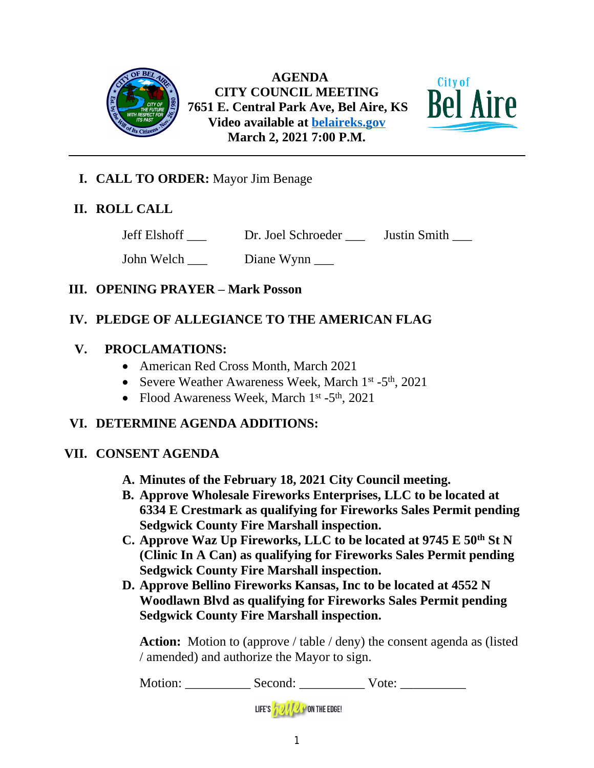

 **AGENDA CITY COUNCIL MEETING 7651 E. Central Park Ave, Bel Aire, KS Video available at [belaireks.gov](http://belaireks.gov/) March 2, 2021 7:00 P.M.**



## **I. CALL TO ORDER:** Mayor Jim Benage

## **II. ROLL CALL**

Jeff Elshoff \_\_\_ Dr. Joel Schroeder \_\_\_ Justin Smith \_\_\_

John Welch \_\_\_\_ Diane Wynn \_\_\_\_

## **III. OPENING PRAYER – Mark Posson**

# **IV. PLEDGE OF ALLEGIANCE TO THE AMERICAN FLAG**

## **V. PROCLAMATIONS:**

- American Red Cross Month, March 2021
- Severe Weather Awareness Week, March 1<sup>st</sup> -5<sup>th</sup>, 2021
- Flood Awareness Week, March  $1<sup>st</sup> 5<sup>th</sup>$ , 2021

# **VI. DETERMINE AGENDA ADDITIONS:**

## **VII. CONSENT AGENDA**

- **A. Minutes of the February 18, 2021 City Council meeting.**
- **B. Approve Wholesale Fireworks Enterprises, LLC to be located at 6334 E Crestmark as qualifying for Fireworks Sales Permit pending Sedgwick County Fire Marshall inspection.**
- **C. Approve Waz Up Fireworks, LLC to be located at 9745 E 50th St N (Clinic In A Can) as qualifying for Fireworks Sales Permit pending Sedgwick County Fire Marshall inspection.**
- **D. Approve Bellino Fireworks Kansas, Inc to be located at 4552 N Woodlawn Blvd as qualifying for Fireworks Sales Permit pending Sedgwick County Fire Marshall inspection.**

Action: Motion to (approve / table / deny) the consent agenda as (listed / amended) and authorize the Mayor to sign.

Motion: \_\_\_\_\_\_\_\_\_\_\_ Second: \_\_\_\_\_\_\_\_\_\_\_ Vote: \_\_\_\_\_\_\_\_\_\_\_

LIFE'S **AUTRE ON THE EDGE!**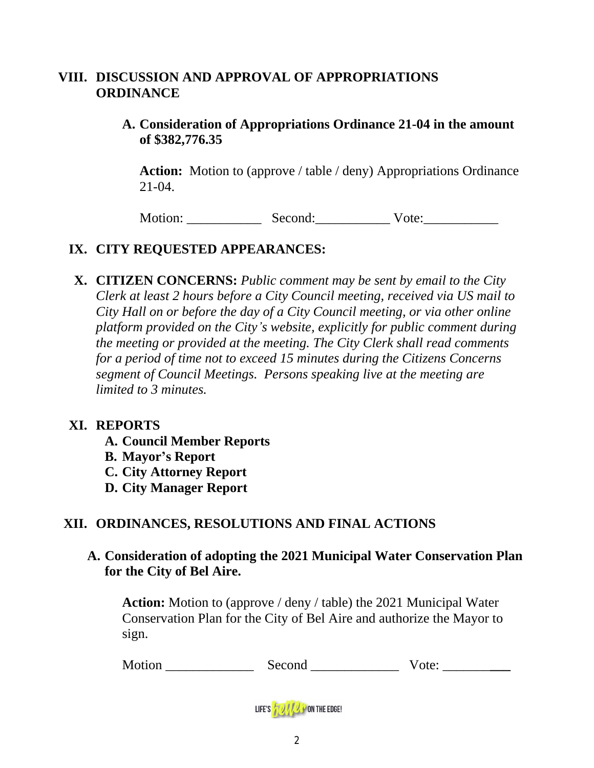## **VIII. DISCUSSION AND APPROVAL OF APPROPRIATIONS ORDINANCE**

## **A. Consideration of Appropriations Ordinance 21-04 in the amount of \$382,776.35**

**Action:** Motion to (approve / table / deny) Appropriations Ordinance 21-04.

Motion: \_\_\_\_\_\_\_\_\_\_\_\_\_\_ Second: \_\_\_\_\_\_\_\_\_\_\_\_\_ Vote: \_\_\_\_\_\_\_\_\_\_\_\_\_\_\_\_\_\_\_\_\_\_\_\_\_\_\_\_\_

# **IX. CITY REQUESTED APPEARANCES:**

**X. CITIZEN CONCERNS:** *Public comment may be sent by email to the City Clerk at least 2 hours before a City Council meeting, received via US mail to City Hall on or before the day of a City Council meeting, or via other online platform provided on the City's website, explicitly for public comment during the meeting or provided at the meeting. The City Clerk shall read comments for a period of time not to exceed 15 minutes during the Citizens Concerns segment of Council Meetings. Persons speaking live at the meeting are limited to 3 minutes.*

#### **XI. REPORTS**

**A. Council Member Reports B. Mayor's Report C. City Attorney Report D. City Manager Report**

## **XII. ORDINANCES, RESOLUTIONS AND FINAL ACTIONS**

**A. Consideration of adopting the 2021 Municipal Water Conservation Plan for the City of Bel Aire.** 

**Action:** Motion to (approve / deny / table) the 2021 Municipal Water Conservation Plan for the City of Bel Aire and authorize the Mayor to sign.

| Motion | ാവി |  |
|--------|-----|--|
|--------|-----|--|

LIFE'S **WAY ON THE EDGE!**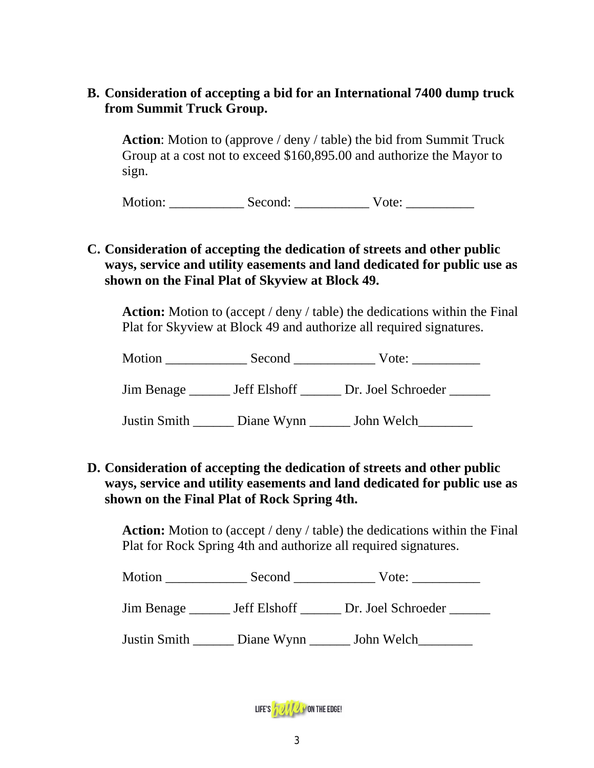## **B. Consideration of accepting a bid for an International 7400 dump truck from Summit Truck Group.**

**Action**: Motion to (approve / deny / table) the bid from Summit Truck Group at a cost not to exceed \$160,895.00 and authorize the Mayor to sign.

Motion: Second: Vote:

## **C. Consideration of accepting the dedication of streets and other public ways, service and utility easements and land dedicated for public use as shown on the Final Plat of Skyview at Block 49.**

**Action:** Motion to (accept / deny / table) the dedications within the Final Plat for Skyview at Block 49 and authorize all required signatures.

| Motion     | Second              | Vote:              |  |
|------------|---------------------|--------------------|--|
| Jim Benage | <b>Jeff Elshoff</b> | Dr. Joel Schroeder |  |

Justin Smith \_\_\_\_\_\_\_ Diane Wynn \_\_\_\_\_\_ John Welch

## **D. Consideration of accepting the dedication of streets and other public ways, service and utility easements and land dedicated for public use as shown on the Final Plat of Rock Spring 4th.**

**Action:** Motion to (accept / deny / table) the dedications within the Final Plat for Rock Spring 4th and authorize all required signatures.

Motion \_\_\_\_\_\_\_\_\_\_\_\_\_\_\_ Second \_\_\_\_\_\_\_\_\_\_\_\_\_\_\_\_ Vote: \_\_\_\_\_\_\_\_\_\_\_\_\_\_

Jim Benage \_\_\_\_\_\_ Jeff Elshoff \_\_\_\_\_\_ Dr. Joel Schroeder \_\_\_\_\_\_

Justin Smith \_\_\_\_\_\_ Diane Wynn \_\_\_\_\_\_ John Welch\_\_\_\_\_\_\_\_